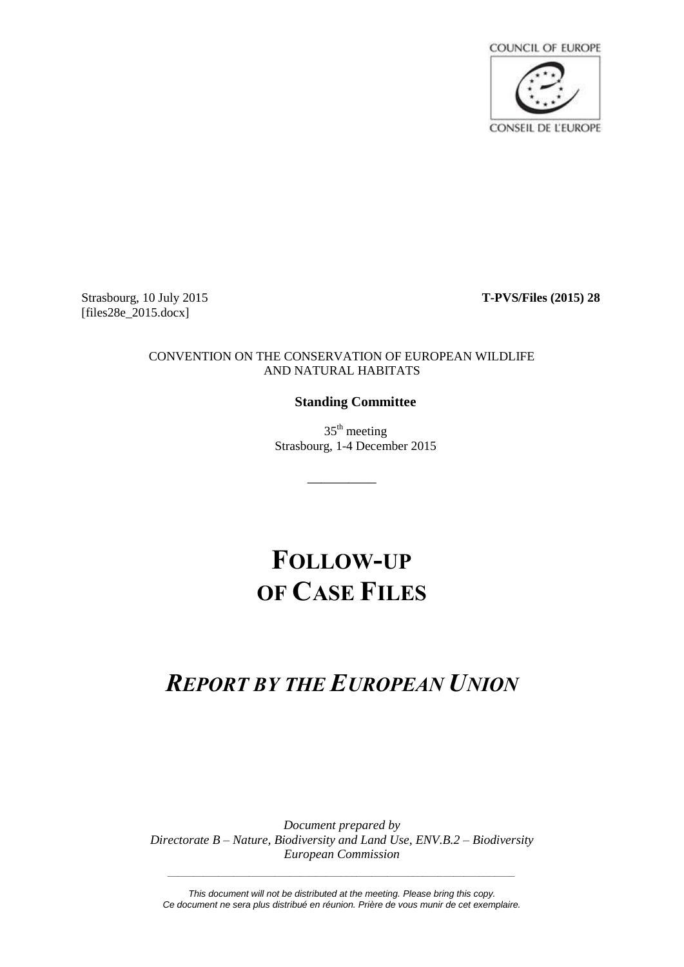

Strasbourg, 10 July 2015 **T-PVS/Files (2015) 28** [files28e 2015.docx]

## CONVENTION ON THE CONSERVATION OF EUROPEAN WILDLIFE AND NATURAL HABITATS

# **Standing Committee**

 $35<sup>th</sup>$  meeting Strasbourg, 1-4 December 2015

# **FOLLOW-UP OF CASE FILES**

\_\_\_\_\_\_\_\_\_\_

# *REPORT BY THE EUROPEAN UNION*

*Document prepared by Directorate B – Nature, Biodiversity and Land Use, ENV.B.2 – Biodiversity European Commission*

*This document will not be distributed at the meeting. Please bring this copy. Ce document ne sera plus distribué en réunion. Prière de vous munir de cet exemplaire.*

*\_\_\_\_\_\_\_\_\_\_\_\_\_\_\_\_\_\_\_\_\_\_\_\_\_\_\_\_\_\_\_\_\_\_\_\_\_\_\_\_\_\_\_\_\_\_\_\_\_\_\_\_\_\_\_\_\_\_\_\_\_\_\_\_\_\_\_\_*